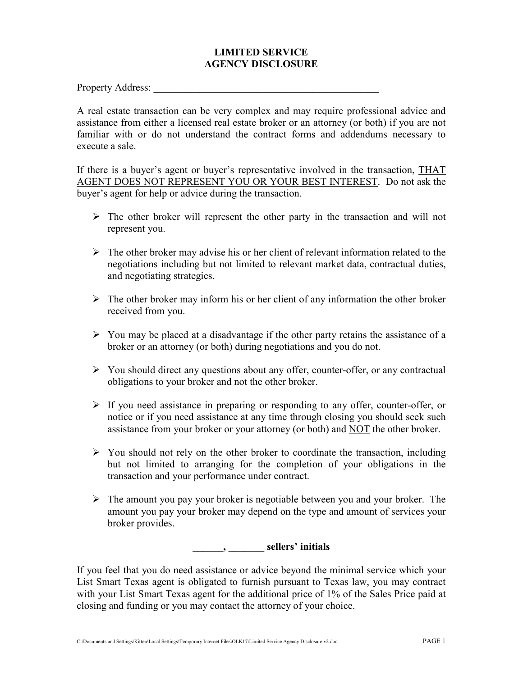## LIMITED SERVICE AGENCY DISCLOSURE

Property Address: \_\_\_\_\_\_\_\_\_\_\_\_\_\_\_\_\_\_\_\_\_\_\_\_\_\_\_\_\_\_\_\_\_\_\_\_\_\_\_\_\_\_\_\_

A real estate transaction can be very complex and may require professional advice and assistance from either a licensed real estate broker or an attorney (or both) if you are not familiar with or do not understand the contract forms and addendums necessary to execute a sale.

If there is a buyer's agent or buyer's representative involved in the transaction, THAT AGENT DOES NOT REPRESENT YOU OR YOUR BEST INTEREST. Do not ask the buyer's agent for help or advice during the transaction.

- $\triangleright$  The other broker will represent the other party in the transaction and will not represent you.
- $\triangleright$  The other broker may advise his or her client of relevant information related to the negotiations including but not limited to relevant market data, contractual duties, and negotiating strategies.
- $\triangleright$  The other broker may inform his or her client of any information the other broker received from you.
- $\triangleright$  You may be placed at a disadvantage if the other party retains the assistance of a broker or an attorney (or both) during negotiations and you do not.
- $\triangleright$  You should direct any questions about any offer, counter-offer, or any contractual obligations to your broker and not the other broker.
- $\triangleright$  If you need assistance in preparing or responding to any offer, counter-offer, or notice or if you need assistance at any time through closing you should seek such assistance from your broker or your attorney (or both) and NOT the other broker.
- $\triangleright$  You should not rely on the other broker to coordinate the transaction, including but not limited to arranging for the completion of your obligations in the transaction and your performance under contract.
- $\triangleright$  The amount you pay your broker is negotiable between you and your broker. The amount you pay your broker may depend on the type and amount of services your broker provides.

 $\frac{1}{\sqrt{2\pi}}$  sellers' initials

If you feel that you do need assistance or advice beyond the minimal service which your List Smart Texas agent is obligated to furnish pursuant to Texas law, you may contract with your List Smart Texas agent for the additional price of 1% of the Sales Price paid at closing and funding or you may contact the attorney of your choice.